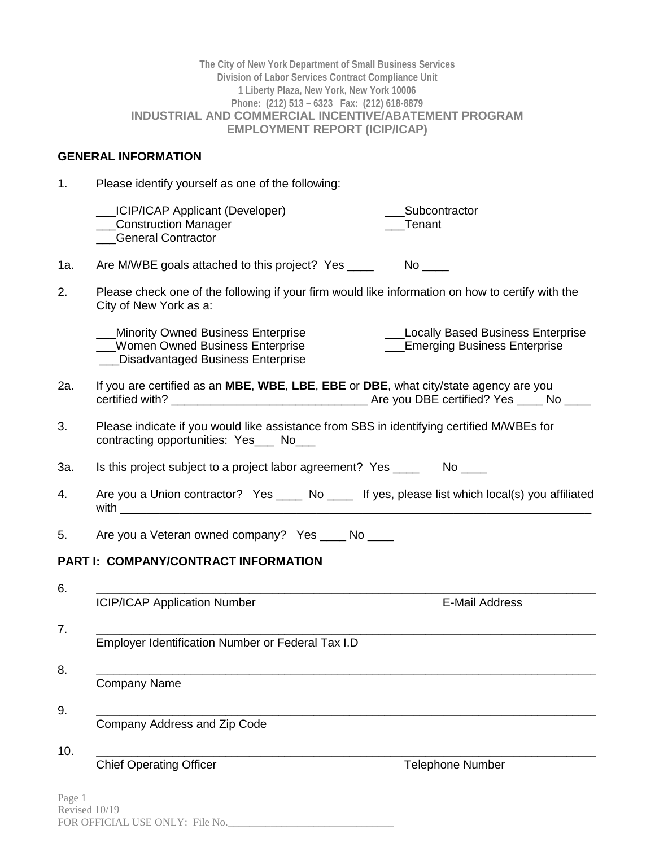|     | The City of New York Department of Small Business Services<br>Division of Labor Services Contract Compliance Unit<br>1 Liberty Plaza, New York, New York 10006<br>Phone: (212) 513 - 6323  Fax: (212) 618-8879<br><b>INDUSTRIAL AND COMMERCIAL INCENTIVE/ABATEMENT PROGRAM</b><br><b>EMPLOYMENT REPORT (ICIP/ICAP)</b> |
|-----|------------------------------------------------------------------------------------------------------------------------------------------------------------------------------------------------------------------------------------------------------------------------------------------------------------------------|
|     | <b>GENERAL INFORMATION</b>                                                                                                                                                                                                                                                                                             |
| 1.  | Please identify yourself as one of the following:                                                                                                                                                                                                                                                                      |
|     | LICIP/ICAP Applicant (Developer)<br>Subcontractor<br>_Construction Manager<br>Tenant<br><b>General Contractor</b>                                                                                                                                                                                                      |
| 1a. | Are M/WBE goals attached to this project? Yes ____                                                                                                                                                                                                                                                                     |
| 2.  | Please check one of the following if your firm would like information on how to certify with the<br>City of New York as a:                                                                                                                                                                                             |
|     | <b>Locally Based Business Enterprise</b><br>_Minority Owned Business Enterprise<br><b>Emerging Business Enterprise</b><br>Women Owned Business Enterprise<br>__ Disadvantaged Business Enterprise                                                                                                                      |
| 2a. | If you are certified as an MBE, WBE, LBE, EBE or DBE, what city/state agency are you                                                                                                                                                                                                                                   |
| 3.  | Please indicate if you would like assistance from SBS in identifying certified M/WBEs for<br>contracting opportunities: Yes___ No___                                                                                                                                                                                   |
| За. | Is this project subject to a project labor agreement? Yes ________ No ____                                                                                                                                                                                                                                             |
| 4.  | Are you a Union contractor? Yes _____ No _____ If yes, please list which local(s) you affiliated<br>with                                                                                                                                                                                                               |
| 5.  | Are you a Veteran owned company? Yes ____ No ____                                                                                                                                                                                                                                                                      |
|     | PART I: COMPANY/CONTRACT INFORMATION                                                                                                                                                                                                                                                                                   |
| 6.  |                                                                                                                                                                                                                                                                                                                        |
|     | <b>ICIP/ICAP Application Number</b><br><b>E-Mail Address</b>                                                                                                                                                                                                                                                           |
| 7.  | Employer Identification Number or Federal Tax I.D                                                                                                                                                                                                                                                                      |
| 8.  |                                                                                                                                                                                                                                                                                                                        |
|     | <b>Company Name</b>                                                                                                                                                                                                                                                                                                    |
| 9.  | Company Address and Zip Code                                                                                                                                                                                                                                                                                           |
| 10. |                                                                                                                                                                                                                                                                                                                        |
|     | <b>Chief Operating Officer</b><br><b>Telephone Number</b>                                                                                                                                                                                                                                                              |

Page 1 Revised 10/19 FOR OFFICIAL USE ONLY: File No.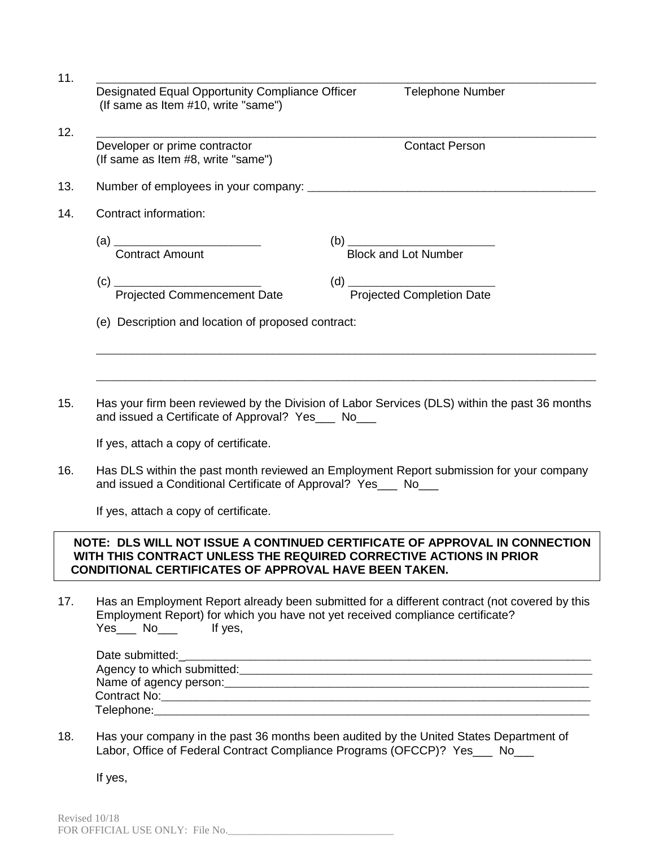| (If same as Item #10, write "same")                                 |                             |
|---------------------------------------------------------------------|-----------------------------|
| Developer or prime contractor<br>(If same as Item #8, write "same") | <b>Contact Person</b>       |
|                                                                     |                             |
| Contract information:                                               |                             |
| <b>Contract Amount</b>                                              | <b>Block and Lot Number</b> |
|                                                                     |                             |
| (e) Description and location of proposed contract:                  |                             |

15. Has your firm been reviewed by the Division of Labor Services (DLS) within the past 36 months and issued a Certificate of Approval? Yes\_\_\_ No\_\_\_

If yes, attach a copy of certificate.

16. Has DLS within the past month reviewed an Employment Report submission for your company and issued a Conditional Certificate of Approval? Yes No

If yes, attach a copy of certificate.

## **NOTE: DLS WILL NOT ISSUE A CONTINUED CERTIFICATE OF APPROVAL IN CONNECTION WITH THIS CONTRACT UNLESS THE REQUIRED CORRECTIVE ACTIONS IN PRIOR CONDITIONAL CERTIFICATES OF APPROVAL HAVE BEEN TAKEN.**

17. Has an Employment Report already been submitted for a different contract (not covered by this Employment Report) for which you have not yet received compliance certificate? Yes\_\_\_ No\_\_\_\_ If yes,

| Date submitted:                                                                                                       |  |
|-----------------------------------------------------------------------------------------------------------------------|--|
| Agency to which submitted:                                                                                            |  |
|                                                                                                                       |  |
| Contract No: <b>Example 19</b> No. 19 No. 19 No. 19 No. 19 No. 19 No. 19 No. 19 No. 19 No. 19 No. 19 No. 19 No. 19 No |  |
| Telephone:                                                                                                            |  |

18. Has your company in the past 36 months been audited by the United States Department of Labor, Office of Federal Contract Compliance Programs (OFCCP)? Yes\_\_\_ No\_\_\_

If yes,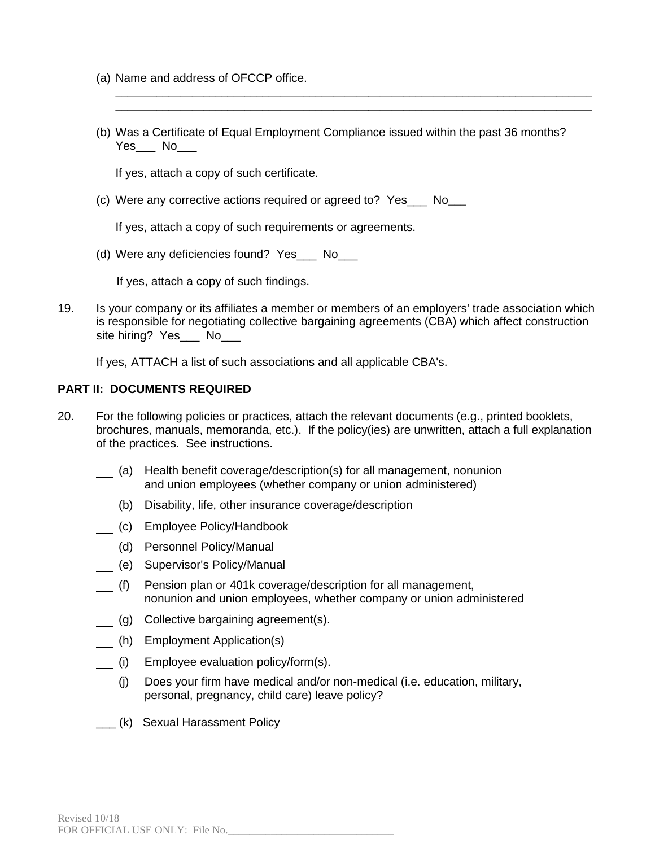- (a) Name and address of OFCCP office.
- (b) Was a Certificate of Equal Employment Compliance issued within the past 36 months? Yes\_\_\_ No

\_\_\_\_\_\_\_\_\_\_\_\_\_\_\_\_\_\_\_\_\_\_\_\_\_\_\_\_\_\_\_\_\_\_\_\_\_\_\_\_\_\_\_\_\_\_\_\_\_\_\_\_\_\_\_\_\_\_\_\_\_\_\_\_\_\_\_\_\_\_\_\_\_\_\_\_\_\_\_\_\_ \_\_\_\_\_\_\_\_\_\_\_\_\_\_\_\_\_\_\_\_\_\_\_\_\_\_\_\_\_\_\_\_\_\_\_\_\_\_\_\_\_\_\_\_\_\_\_\_\_\_\_\_\_\_\_\_\_\_\_\_\_\_\_\_\_\_\_\_\_\_\_\_\_\_\_\_\_\_\_\_\_

If yes, attach a copy of such certificate.

(c) Were any corrective actions required or agreed to? Yes\_\_\_ No\_\_\_

If yes, attach a copy of such requirements or agreements.

(d) Were any deficiencies found? Yes No

If yes, attach a copy of such findings.

19. Is your company or its affiliates a member or members of an employers' trade association which is responsible for negotiating collective bargaining agreements (CBA) which affect construction site hiring? Yes\_\_\_ No\_\_\_

If yes, ATTACH a list of such associations and all applicable CBA's.

### **PART II: DOCUMENTS REQUIRED**

- 20. For the following policies or practices, attach the relevant documents (e.g., printed booklets, brochures, manuals, memoranda, etc.). If the policy(ies) are unwritten, attach a full explanation of the practices. See instructions.
	- (a) Health benefit coverage/description(s) for all management, nonunion and union employees (whether company or union administered)
	- (b) Disability, life, other insurance coverage/description
	- (c) Employee Policy/Handbook
	- (d) Personnel Policy/Manual
	- (e) Supervisor's Policy/Manual
	- (f) Pension plan or 401k coverage/description for all management, nonunion and union employees, whether company or union administered
	- (g) Collective bargaining agreement(s).
	- (h) Employment Application(s)
	- (i) Employee evaluation policy/form(s).
	- (j) Does your firm have medical and/or non-medical (i.e. education, military, personal, pregnancy, child care) leave policy?
	- \_\_\_ (k) Sexual Harassment Policy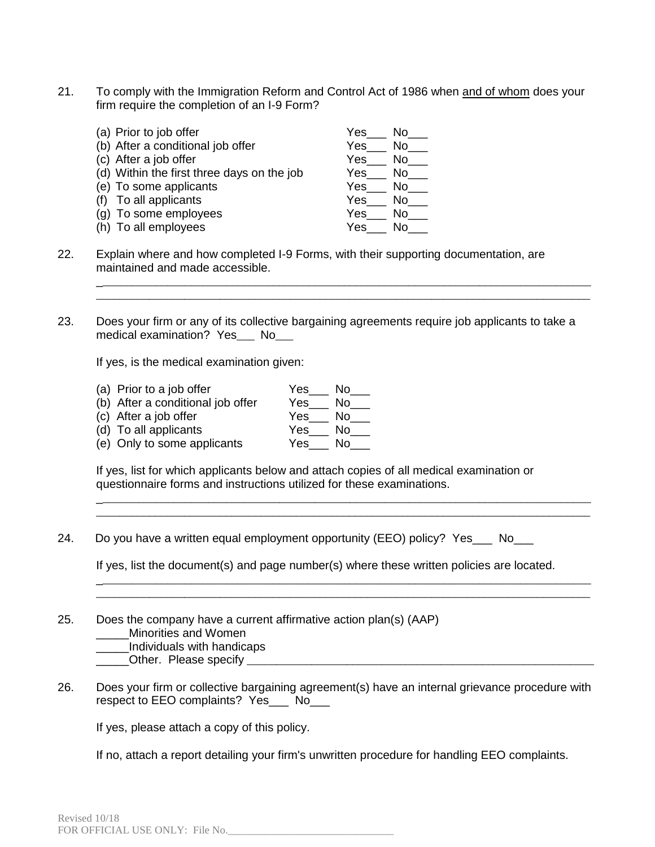21. To comply with the Immigration Reform and Control Act of 1986 when and of whom does your firm require the completion of an I-9 Form?

| (a) Prior to job offer                     | Yes<br>No.  |
|--------------------------------------------|-------------|
| (b) After a conditional job offer          | No.<br>Yes  |
| (c) After a job offer                      | Yes<br>No.  |
| (d) Within the first three days on the job | Yes.<br>No. |
| (e) To some applicants                     | Yes<br>No.  |
| (f) To all applicants                      | Yes<br>Nο   |
| (g) To some employees                      | Yes<br>No.  |
| (h) To all employees                       | Yes<br>N٥   |

- 22. Explain where and how completed I-9 Forms, with their supporting documentation, are maintained and made accessible.
- 23. Does your firm or any of its collective bargaining agreements require job applicants to take a medical examination? Yes\_\_\_ No\_\_\_

\_\_\_\_\_\_\_\_\_\_\_\_\_\_\_\_\_\_\_\_\_\_\_\_\_\_\_\_\_\_\_\_\_\_\_\_\_\_\_\_\_\_\_\_\_\_\_\_\_\_\_\_\_\_\_\_\_\_\_\_\_\_\_\_\_\_\_\_\_\_\_\_\_\_\_\_\_\_\_\_\_\_\_\_ \_\_\_\_\_\_\_\_\_\_\_\_\_\_\_\_\_\_\_\_\_\_\_\_\_\_\_\_\_\_\_\_\_\_\_\_\_\_\_\_\_\_\_\_\_\_\_\_\_\_\_\_\_\_\_\_\_\_\_\_\_\_\_\_\_\_\_\_\_\_\_\_\_\_\_\_\_\_\_\_\_\_\_\_

If yes, is the medical examination given:

(a) Prior to a job offer  $Yes$  No  $\overline{\phantom{a}}$  (b) After a conditional job offer  $Yes$  No  $\overline{\phantom{a}}$ (b) After a conditional job offer  $Yes$  No <br>
(c) After a job offer  $Yes$  No No Nes No No Nes No No Nes No No Nes No No Nes No No Nes No No Nes No No Net Ref. 1, and Net Ref. 1, and Net Ref. 1, and Net Ref. 1, and Net Ref. 1 (c) After a job offer Yes\_\_\_ No\_\_\_ (d) To all applicants  $Yes$  No  $\_\_$ (e) Only to some applicants Yes\_\_\_ No\_\_\_

If yes, list for which applicants below and attach copies of all medical examination or questionnaire forms and instructions utilized for these examinations.

24. Do you have a written equal employment opportunity (EEO) policy? Yes No

If yes, list the document(s) and page number(s) where these written policies are located.

\_\_\_\_\_\_\_\_\_\_\_\_\_\_\_\_\_\_\_\_\_\_\_\_\_\_\_\_\_\_\_\_\_\_\_\_\_\_\_\_\_\_\_\_\_\_\_\_\_\_\_\_\_\_\_\_\_\_\_\_\_\_\_\_\_\_\_\_\_\_\_\_\_\_\_\_\_\_\_\_\_\_\_\_ \_\_\_\_\_\_\_\_\_\_\_\_\_\_\_\_\_\_\_\_\_\_\_\_\_\_\_\_\_\_\_\_\_\_\_\_\_\_\_\_\_\_\_\_\_\_\_\_\_\_\_\_\_\_\_\_\_\_\_\_\_\_\_\_\_\_\_\_\_\_\_\_\_\_\_\_\_\_\_\_\_\_\_\_

\_\_\_\_\_\_\_\_\_\_\_\_\_\_\_\_\_\_\_\_\_\_\_\_\_\_\_\_\_\_\_\_\_\_\_\_\_\_\_\_\_\_\_\_\_\_\_\_\_\_\_\_\_\_\_\_\_\_\_\_\_\_\_\_\_\_\_\_\_\_\_\_\_\_\_\_\_\_\_\_\_\_\_\_ \_\_\_\_\_\_\_\_\_\_\_\_\_\_\_\_\_\_\_\_\_\_\_\_\_\_\_\_\_\_\_\_\_\_\_\_\_\_\_\_\_\_\_\_\_\_\_\_\_\_\_\_\_\_\_\_\_\_\_\_\_\_\_\_\_\_\_\_\_\_\_\_\_\_\_\_\_\_\_\_\_\_\_\_

25. Does the company have a current affirmative action plan(s) (AAP) \_\_\_\_\_Minorities and Women

\_\_\_\_\_Individuals with handicaps

Other. Please specify **Example 20** and  $\alpha$  and  $\alpha$  and  $\alpha$  and  $\alpha$  and  $\alpha$  and  $\alpha$  and  $\alpha$  and  $\alpha$  and  $\alpha$  and  $\alpha$  and  $\alpha$  and  $\alpha$  and  $\alpha$  and  $\alpha$  and  $\alpha$  and  $\alpha$  and  $\alpha$  and  $\alpha$  and  $\alpha$  and  $\alpha$  and  $\alpha$ 

26. Does your firm or collective bargaining agreement(s) have an internal grievance procedure with respect to EEO complaints? Yes\_\_\_ No\_\_\_

If yes, please attach a copy of this policy.

If no, attach a report detailing your firm's unwritten procedure for handling EEO complaints.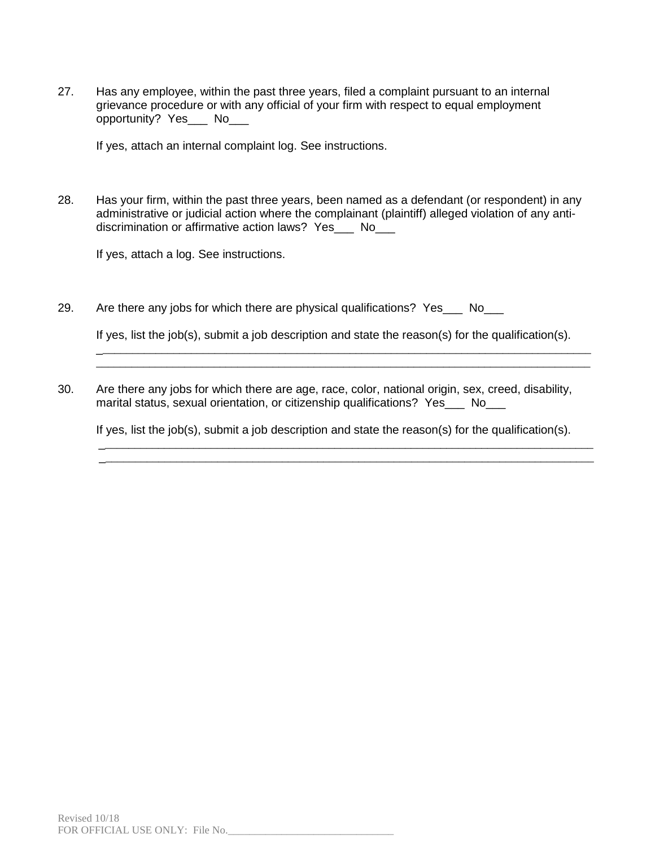27. Has any employee, within the past three years, filed a complaint pursuant to an internal grievance procedure or with any official of your firm with respect to equal employment opportunity? Yes\_\_\_ No\_\_\_

If yes, attach an internal complaint log. See instructions.

28. Has your firm, within the past three years, been named as a defendant (or respondent) in any administrative or judicial action where the complainant (plaintiff) alleged violation of any antidiscrimination or affirmative action laws? Yes\_\_\_ No\_\_\_

If yes, attach a log. See instructions.

29. Are there any jobs for which there are physical qualifications? Yes No

If yes, list the job(s), submit a job description and state the reason(s) for the qualification(s).

\_\_\_\_\_\_\_\_\_\_\_\_\_\_\_\_\_\_\_\_\_\_\_\_\_\_\_\_\_\_\_\_\_\_\_\_\_\_\_\_\_\_\_\_\_\_\_\_\_\_\_\_\_\_\_\_\_\_\_\_\_\_\_\_\_\_\_\_\_\_\_\_\_\_\_\_\_\_\_\_\_\_\_\_ \_\_\_\_\_\_\_\_\_\_\_\_\_\_\_\_\_\_\_\_\_\_\_\_\_\_\_\_\_\_\_\_\_\_\_\_\_\_\_\_\_\_\_\_\_\_\_\_\_\_\_\_\_\_\_\_\_\_\_\_\_\_\_\_\_\_\_\_\_\_\_\_\_\_\_\_\_\_\_\_\_\_\_\_

30. Are there any jobs for which there are age, race, color, national origin, sex, creed, disability, marital status, sexual orientation, or citizenship qualifications? Yes No

If yes, list the job(s), submit a job description and state the reason(s) for the qualification(s).

\_\_\_\_\_\_\_\_\_\_\_\_\_\_\_\_\_\_\_\_\_\_\_\_\_\_\_\_\_\_\_\_\_\_\_\_\_\_\_\_\_\_\_\_\_\_\_\_\_\_\_\_\_\_\_\_\_\_\_\_\_\_\_\_\_\_\_\_\_\_\_\_\_\_\_\_\_\_\_\_\_\_\_\_ \_\_\_\_\_\_\_\_\_\_\_\_\_\_\_\_\_\_\_\_\_\_\_\_\_\_\_\_\_\_\_\_\_\_\_\_\_\_\_\_\_\_\_\_\_\_\_\_\_\_\_\_\_\_\_\_\_\_\_\_\_\_\_\_\_\_\_\_\_\_\_\_\_\_\_\_\_\_\_\_\_\_\_\_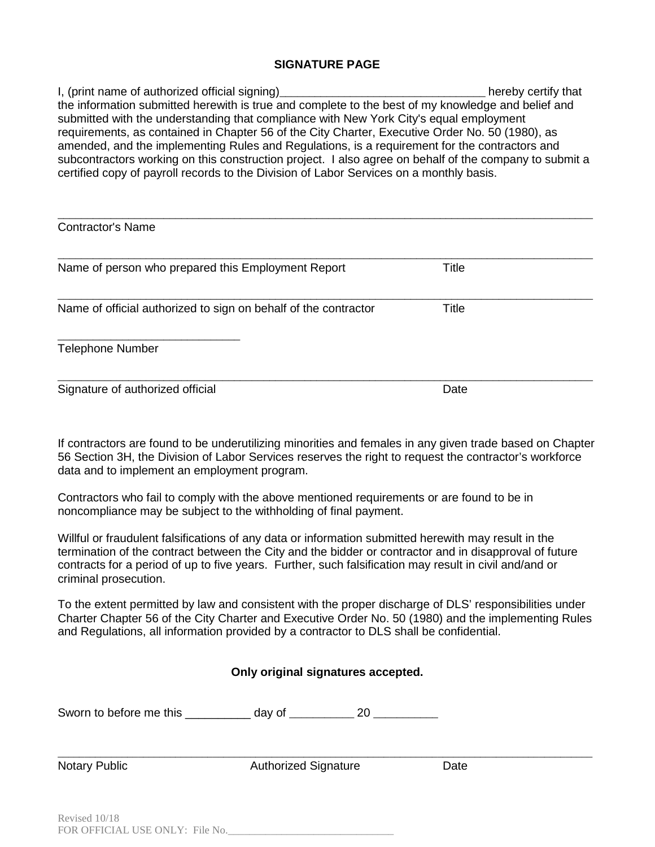### **SIGNATURE PAGE**

I, (print name of authorized official signing)\_\_\_\_\_\_\_\_\_\_\_\_\_\_\_\_\_\_\_\_\_\_\_\_\_\_\_\_\_\_\_\_\_\_\_ hereby certify that the information submitted herewith is true and complete to the best of my knowledge and belief and submitted with the understanding that compliance with New York City's equal employment requirements, as contained in Chapter 56 of the City Charter, Executive Order No. 50 (1980), as amended, and the implementing Rules and Regulations, is a requirement for the contractors and subcontractors working on this construction project. I also agree on behalf of the company to submit a certified copy of payroll records to the Division of Labor Services on a monthly basis.

| <b>Contractor's Name</b>                                        |              |  |
|-----------------------------------------------------------------|--------------|--|
| Name of person who prepared this Employment Report              | Title        |  |
| Name of official authorized to sign on behalf of the contractor | <b>Title</b> |  |
| <b>Telephone Number</b>                                         |              |  |
| Signature of authorized official                                | Date         |  |

If contractors are found to be underutilizing minorities and females in any given trade based on Chapter 56 Section 3H, the Division of Labor Services reserves the right to request the contractor's workforce data and to implement an employment program.

Contractors who fail to comply with the above mentioned requirements or are found to be in noncompliance may be subject to the withholding of final payment.

Willful or fraudulent falsifications of any data or information submitted herewith may result in the termination of the contract between the City and the bidder or contractor and in disapproval of future contracts for a period of up to five years. Further, such falsification may result in civil and/and or criminal prosecution.

To the extent permitted by law and consistent with the proper discharge of DLS' responsibilities under Charter Chapter 56 of the City Charter and Executive Order No. 50 (1980) and the implementing Rules and Regulations, all information provided by a contractor to DLS shall be confidential.

| Only original signatures accepted. |                                                                            |      |  |  |  |  |  |  |  |  |  |
|------------------------------------|----------------------------------------------------------------------------|------|--|--|--|--|--|--|--|--|--|
|                                    | Sworn to before me this _____________ day of _____________ 20 ____________ |      |  |  |  |  |  |  |  |  |  |
| Notary Public                      | <b>Authorized Signature</b>                                                | Date |  |  |  |  |  |  |  |  |  |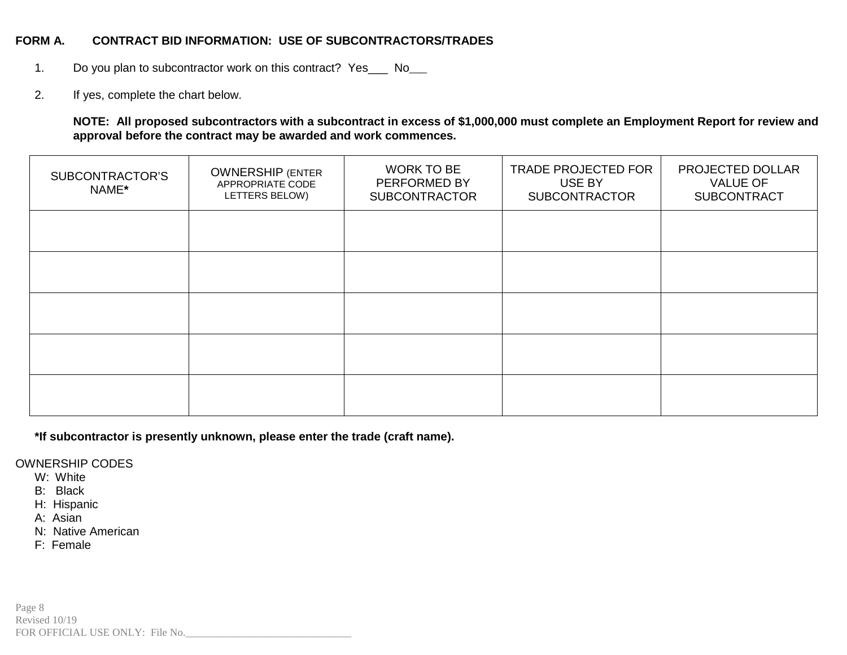### **FORM A. CONTRACT BID INFORMATION: USE OF SUBCONTRACTORS/TRADES**

- 1. Do you plan to subcontractor work on this contract? Yes \_\_\_ No\_\_\_
- 2. If yes, complete the chart below.

**NOTE: All proposed subcontractors with a subcontract in excess of \$1,000,000 must complete an Employment Report for review and approval before the contract may be awarded and work commences.** 

| SUBCONTRACTOR'S<br>NAME* | <b>OWNERSHIP (ENTER</b><br>APPROPRIATE CODE<br>LETTERS BELOW) | <b>WORK TO BE</b><br>PERFORMED BY<br><b>SUBCONTRACTOR</b> | <b>TRADE PROJECTED FOR</b><br>USE BY<br><b>SUBCONTRACTOR</b> | PROJECTED DOLLAR<br><b>VALUE OF</b><br><b>SUBCONTRACT</b> |
|--------------------------|---------------------------------------------------------------|-----------------------------------------------------------|--------------------------------------------------------------|-----------------------------------------------------------|
|                          |                                                               |                                                           |                                                              |                                                           |
|                          |                                                               |                                                           |                                                              |                                                           |
|                          |                                                               |                                                           |                                                              |                                                           |
|                          |                                                               |                                                           |                                                              |                                                           |
|                          |                                                               |                                                           |                                                              |                                                           |

**\*If subcontractor is presently unknown, please enter the trade (craft name).**

OWNERSHIP CODES

- W: White
- B: Black
- H: Hispanic
- A: Asian
- N: Native American
- F: Female

Page 8 Revised 10/19 FOR OFFICIAL USE ONLY: File No.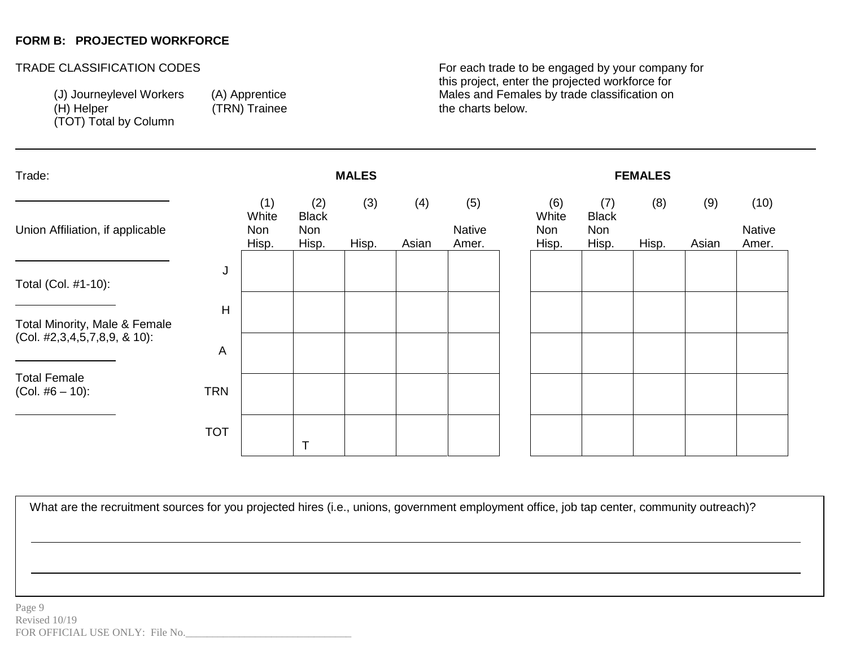## **FORM B: PROJECTED WORKFORCE**

-

(TOT) Total by Column

(TRN) Trainee

TRADE CLASSIFICATION CODES **For each trade to be engaged by your company for** this project, enter the projected workforce for (J) Journeylevel Workers (A) Apprentice Males and Females by trade classification on (H) Helper (H) Helper

| Trade:                                                           | <b>MALES</b>   |                              |                                     |              |              |                        | <b>FEMALES</b> |                                     |                                     |              |              |                         |  |
|------------------------------------------------------------------|----------------|------------------------------|-------------------------------------|--------------|--------------|------------------------|----------------|-------------------------------------|-------------------------------------|--------------|--------------|-------------------------|--|
| Union Affiliation, if applicable                                 |                | (1)<br>White<br>Non<br>Hisp. | (2)<br><b>Black</b><br>Non<br>Hisp. | (3)<br>Hisp. | (4)<br>Asian | (5)<br>Native<br>Amer. |                | (6)<br>White<br><b>Non</b><br>Hisp. | (7)<br><b>Black</b><br>Non<br>Hisp. | (8)<br>Hisp. | (9)<br>Asian | (10)<br>Native<br>Amer. |  |
| Total (Col. #1-10):                                              | J              |                              |                                     |              |              |                        |                |                                     |                                     |              |              |                         |  |
| Total Minority, Male & Female<br>$(Col. 42,3,4,5,7,8,9, 8,10)$ : | $\overline{H}$ |                              |                                     |              |              |                        |                |                                     |                                     |              |              |                         |  |
| <b>Total Female</b>                                              | A              |                              |                                     |              |              |                        |                |                                     |                                     |              |              |                         |  |
| $(Col. #6 – 10)$ :                                               | <b>TRN</b>     |                              |                                     |              |              |                        |                |                                     |                                     |              |              |                         |  |
|                                                                  | <b>TOT</b>     |                              |                                     |              |              |                        |                |                                     |                                     |              |              |                         |  |

What are the recruitment sources for you projected hires (i.e., unions, government employment office, job tap center, community outreach)?

employment office, job tap center,

community of the community of the community of the community of the community of the community of the community

What are the recruitment sources for your control of your control of your control of your control of your control of your control of your control of your control of your control of your control of your control of your cont projected hires (i.e., unions, government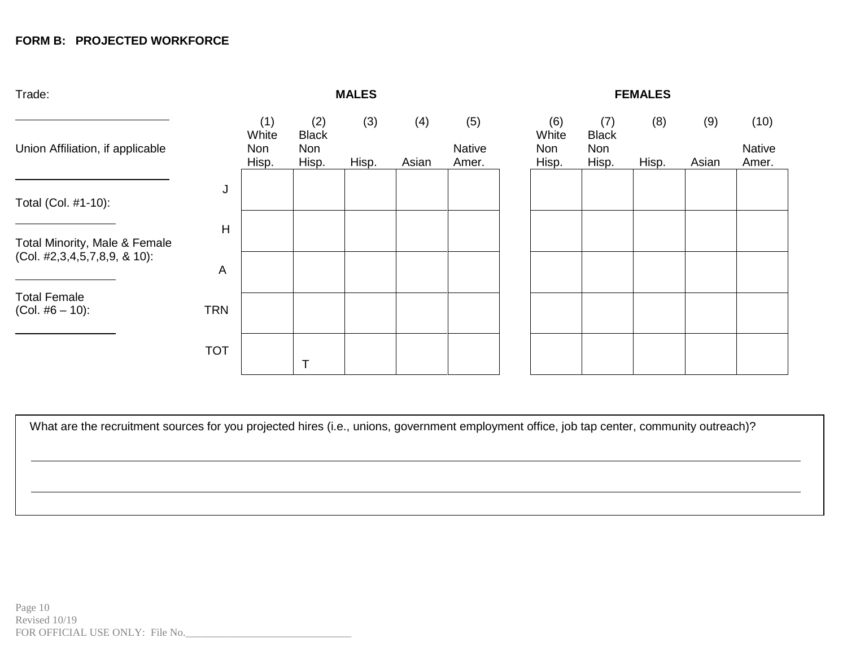# **FORM B: PROJECTED WORKFORCE**

| Trade:                                    | <b>MALES</b> |                              |                                            |              |              | <b>FEMALES</b>                |                                     |                                            |              |              |                         |  |
|-------------------------------------------|--------------|------------------------------|--------------------------------------------|--------------|--------------|-------------------------------|-------------------------------------|--------------------------------------------|--------------|--------------|-------------------------|--|
| Union Affiliation, if applicable          |              | (1)<br>White<br>Non<br>Hisp. | (2)<br><b>Black</b><br><b>Non</b><br>Hisp. | (3)<br>Hisp. | (4)<br>Asian | (5)<br><b>Native</b><br>Amer. | (6)<br>White<br><b>Non</b><br>Hisp. | (7)<br><b>Black</b><br><b>Non</b><br>Hisp. | (8)<br>Hisp. | (9)<br>Asian | (10)<br>Native<br>Amer. |  |
| Total (Col. #1-10):                       | J            |                              |                                            |              |              |                               |                                     |                                            |              |              |                         |  |
| Total Minority, Male & Female             | H            |                              |                                            |              |              |                               |                                     |                                            |              |              |                         |  |
| (Col. #2,3,4,5,7,8,9, & 10):              | A            |                              |                                            |              |              |                               |                                     |                                            |              |              |                         |  |
| <b>Total Female</b><br>$(Col. #6 – 10)$ : | <b>TRN</b>   |                              |                                            |              |              |                               |                                     |                                            |              |              |                         |  |
|                                           | <b>TOT</b>   |                              |                                            |              |              |                               |                                     |                                            |              |              |                         |  |

What are the recruitment sources for you projected hires (i.e., unions, government employment office, job tap center, community outreach)?

What are the recruitment sources for your control of your control of your control of your control of your control of your control of your control of your control of your control of your control of your control of your cont projected hires (i.e., unions, government

employment office, job tap center,

community of the community of the community of the community of the community of the community of the community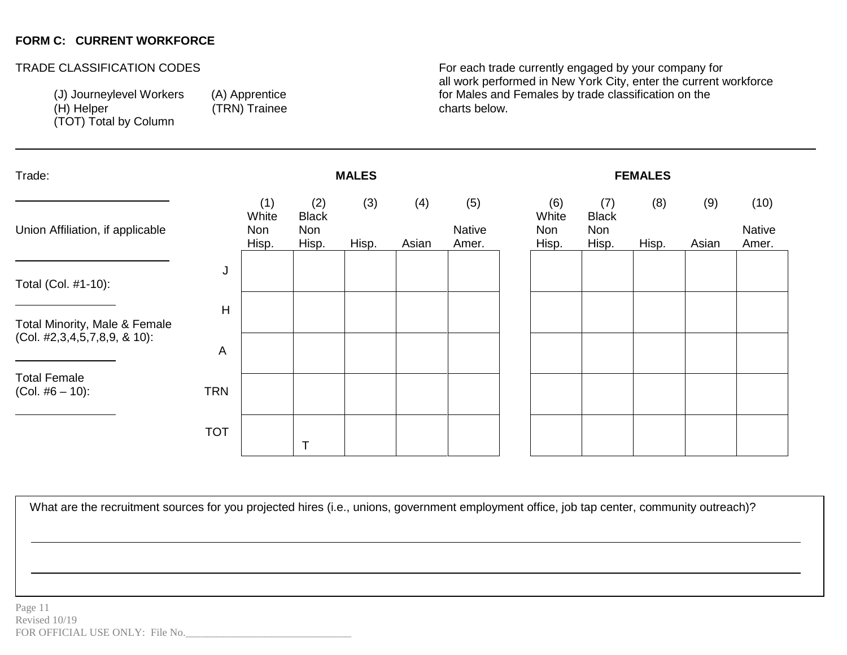## **FORM C: CURRENT WORKFORCE**

-

(TOT) Total by Column

(TRN) Trainee

TRADE CLASSIFICATION CODES **For each trade currently engaged by your company for** all work performed in New York City, enter the current workforce (J) Journeylevel Workers (A) Apprentice for Males and Females by trade classification on the (H) Helper (H) Helper

| Trade:                                    | <b>MALES</b><br><b>FEMALES</b> |                              |                                     |              |              |                               |  |                              |                                     |              |              |                                |
|-------------------------------------------|--------------------------------|------------------------------|-------------------------------------|--------------|--------------|-------------------------------|--|------------------------------|-------------------------------------|--------------|--------------|--------------------------------|
| Union Affiliation, if applicable          |                                | (1)<br>White<br>Non<br>Hisp. | (2)<br><b>Black</b><br>Non<br>Hisp. | (3)<br>Hisp. | (4)<br>Asian | (5)<br><b>Native</b><br>Amer. |  | (6)<br>White<br>Non<br>Hisp. | (7)<br><b>Black</b><br>Non<br>Hisp. | (8)<br>Hisp. | (9)<br>Asian | (10)<br><b>Native</b><br>Amer. |
| Total (Col. #1-10):                       | J                              |                              |                                     |              |              |                               |  |                              |                                     |              |              |                                |
| Total Minority, Male & Female             | H                              |                              |                                     |              |              |                               |  |                              |                                     |              |              |                                |
| $(Col. 42,3,4,5,7,8,9, 8,10)$ :           | A                              |                              |                                     |              |              |                               |  |                              |                                     |              |              |                                |
| <b>Total Female</b><br>$(Col. #6 – 10)$ : | <b>TRN</b>                     |                              |                                     |              |              |                               |  |                              |                                     |              |              |                                |
|                                           | <b>TOT</b>                     |                              |                                     |              |              |                               |  |                              |                                     |              |              |                                |

What are the recruitment sources for you projected hires (i.e., unions, government employment office, job tap center, community outreach)?

employment office, job tap center,

community of the community of the community of the community of the community of the community of the community

What are the recruitment sources for your control of your control of your control of your control of your control of your control of your control of your control of your control of your control of your control of your cont projected hires (i.e., unions, government